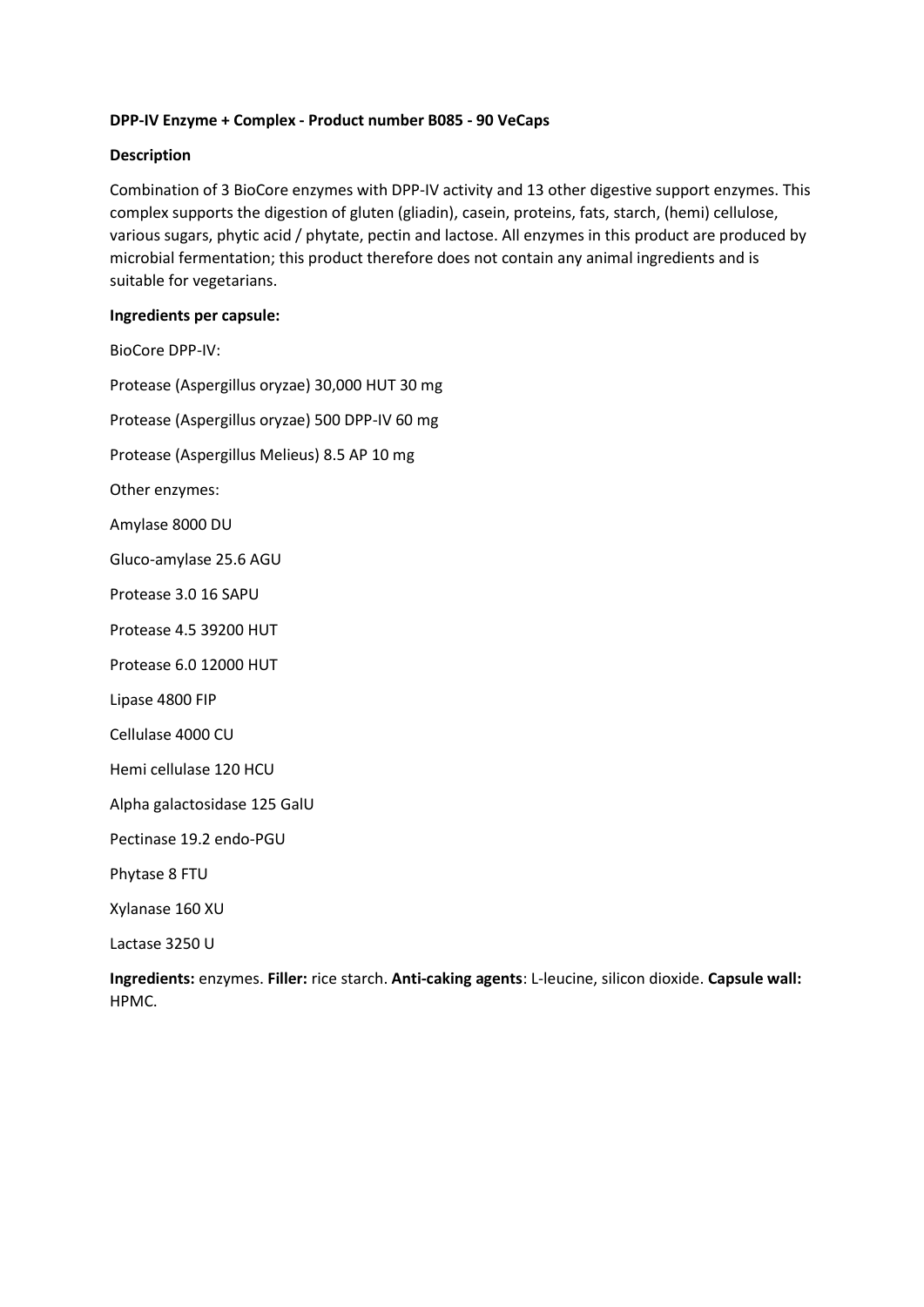# **DPP-IV Enzyme + Complex - Product number B085 - 90 VeCaps**

### **Description**

Combination of 3 BioCore enzymes with DPP-IV activity and 13 other digestive support enzymes. This complex supports the digestion of gluten (gliadin), casein, proteins, fats, starch, (hemi) cellulose, various sugars, phytic acid / phytate, pectin and lactose. All enzymes in this product are produced by microbial fermentation; this product therefore does not contain any animal ingredients and is suitable for vegetarians.

#### **Ingredients per capsule:**

BioCore DPP-IV: Protease (Aspergillus oryzae) 30,000 HUT 30 mg Protease (Aspergillus oryzae) 500 DPP-IV 60 mg Protease (Aspergillus Melieus) 8.5 AP 10 mg Other enzymes: Amylase 8000 DU Gluco-amylase 25.6 AGU Protease 3.0 16 SAPU Protease 4.5 39200 HUT Protease 6.0 12000 HUT Lipase 4800 FIP Cellulase 4000 CU Hemi cellulase 120 HCU Alpha galactosidase 125 GalU Pectinase 19.2 endo-PGU Phytase 8 FTU Xylanase 160 XU

Lactase 3250 U

**Ingredients:** enzymes. **Filler:** rice starch. **Anti-caking agents**: L-leucine, silicon dioxide. **Capsule wall:** HPMC.